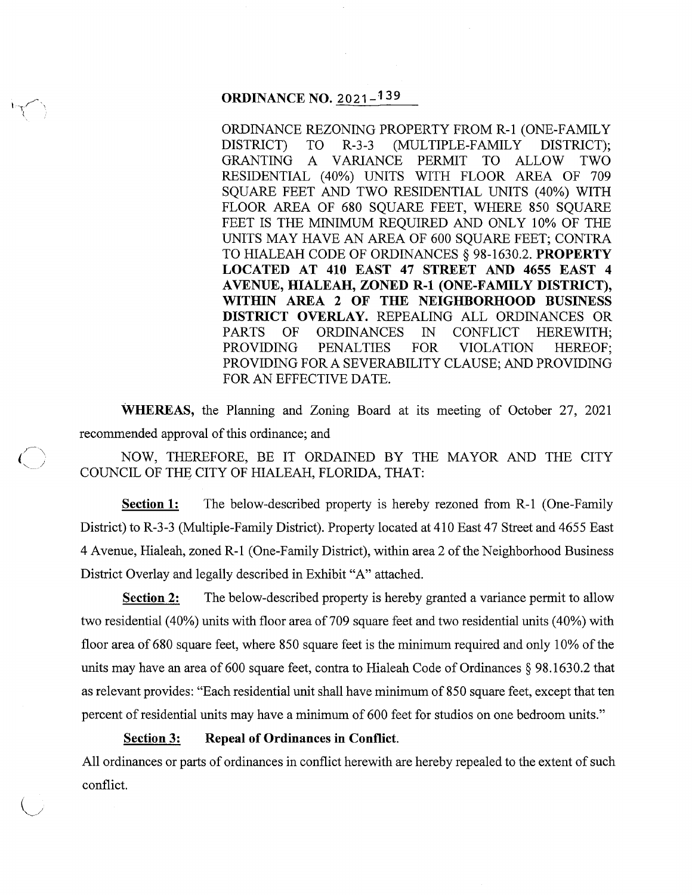## **ORDINANCE NO.** 2021-139

ORDINANCE REZONING PROPERTY FROM R-1 (ONE-FAMILY DISTRICT) TO R-3-3 (MULTIPLE-FAMILY DISTRICT); GRANTING A VARIANCE PERMIT TO ALLOW TWO RESIDENTIAL (40%) UNITS WITH FLOOR AREA OF 709 SQUARE FEET AND TWO RESIDENTIAL UNITS (40%) WITH FLOOR AREA OF 680 SQUARE FEET, WHERE 850 SQUARE FEET IS THE MINIMUM REQUIRED AND ONLY 10% OF THE UNITS MAY HAVE AN AREA OF 600 SQUARE FEET; CONTRA TO HIALEAH CODE OF ORDINANCES§ 98-1630.2. **PROPERTY LOCATED AT 410 EAST 47 STREET AND 4655 EAST 4 A VENUE, HIALEAH, ZONED R-1 (ONE-FAMILY DISTRICT), WITHIN AREA 2 OF THE NEIGHBORHOOD BUSINESS DISTRICT OVERLAY.** REPEALING ALL ORDINANCES OR PARTS OF ORDINANCES IN CONFLICT HEREWITH; PROVIDING PENALTIES FOR VIOLATION HEREOF; PROVIDING FOR A SEVERABILITY CLAUSE; AND PROVIDING FOR AN EFFECTIVE DATE.

**WHEREAS,** the Planning and Zoning Board at its meeting of October 27, 2021 recommended approval of this ordinance; and

NOW, THEREFORE, BE IT ORDAINED BY THE MAYOR AND THE CITY COUNCIL OF THE CITY OF HIALEAH, FLORIDA, THAT:

**Section 1:** The below-described property is hereby rezoned from R-1 (One-Family District) to R-3-3 (Multiple-Family District). Property located at 410 East 47 Street and 4655 East 4 Avenue, Hialeah, zoned R-1 (One-Family District), within area 2 of the Neighborhood Business District Overlay and legally described in Exhibit "A" attached.

**Section 2:** The below-described property is hereby granted a variance permit to allow two residential (40%) units with floor area of 709 square feet and two residential units (40%) with floor area of 680 square feet, where 850 square feet is the minimum required and only 10% of the units may have an area of 600 square feet, contra to Hialeah Code of Ordinances§ 98.1630.2 that as relevant provides: "Each residential unit shall have minimum of 850 square feet, except that ten percent of residential units may have a minimum of 600 feet for studios on one bedroom units."

**Section 3: Repeal of Ordinances in Conflict.** 

All ordinances or parts of ordinances in conflict herewith are hereby repealed to the extent of such conflict.